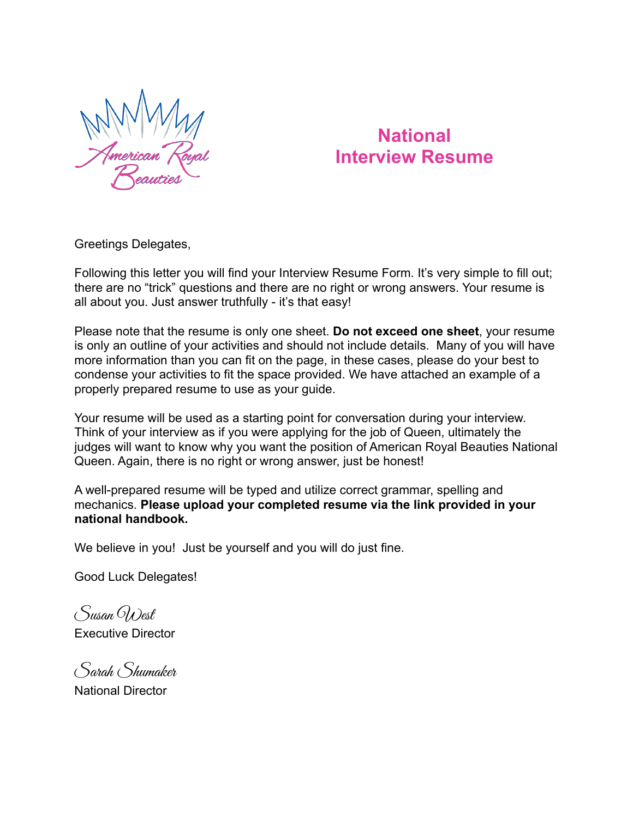

# **National Interview Resume**

Greetings Delegates,

Following this letter you will find your Interview Resume Form. It's very simple to fill out; there are no "trick" questions and there are no right or wrong answers. Your resume is all about you. Just answer truthfully - it's that easy!

Please note that the resume is only one sheet. **Do not exceed one sheet**, your resume is only an outline of your activities and should not include details. Many of you will have more information than you can fit on the page, in these cases, please do your best to condense your activities to fit the space provided. We have attached an example of a properly prepared resume to use as your guide.

Your resume will be used as a starting point for conversation during your interview. Think of your interview as if you were applying for the job of Queen, ultimately the judges will want to know why you want the position of American Royal Beauties National Queen. Again, there is no right or wrong answer, just be honest!

A well-prepared resume will be typed and utilize correct grammar, spelling and mechanics. **Please upload your completed resume via the link provided in your national handbook.**

We believe in you! Just be yourself and you will do just fine.

Good Luck Delegates!

Susan West Executive Director

Sarah Shumaker National Director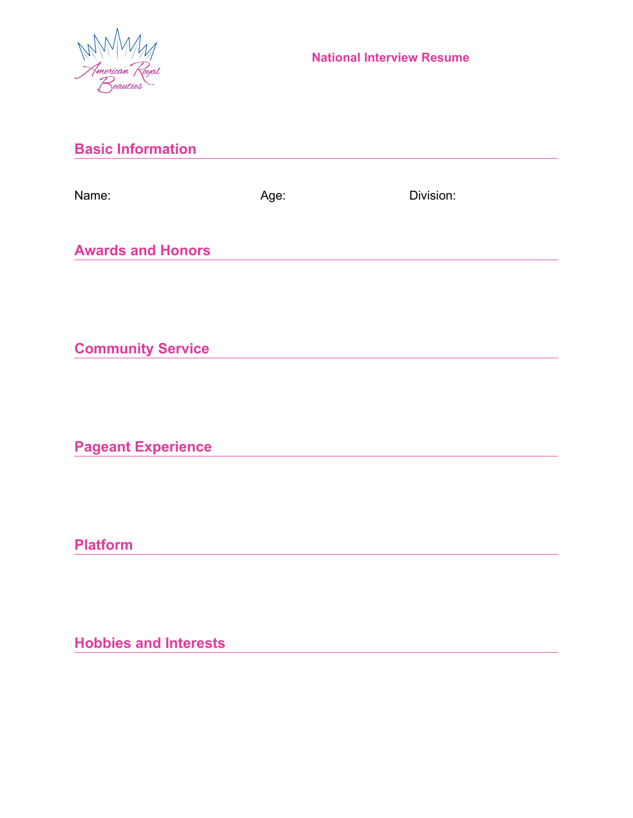

| <b>Basic Information</b>     |      |           |  |
|------------------------------|------|-----------|--|
| Name:                        | Age: | Division: |  |
| <b>Awards and Honors</b>     |      |           |  |
|                              |      |           |  |
| <b>Community Service</b>     |      |           |  |
|                              |      |           |  |
| <b>Pageant Experience</b>    |      |           |  |
| <b>Platform</b>              |      |           |  |
|                              |      |           |  |
| <b>Hobbies and Interests</b> |      |           |  |